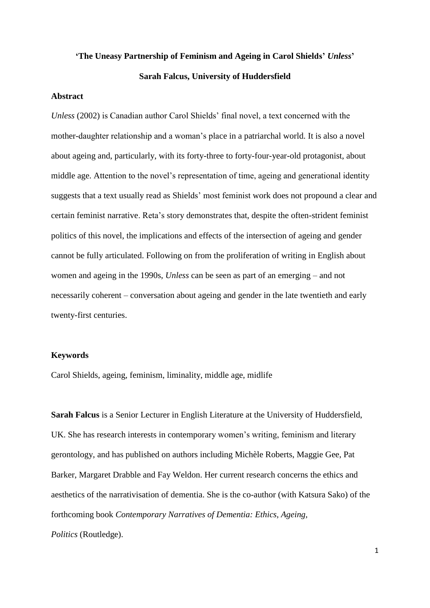# **'The Uneasy Partnership of Feminism and Ageing in Carol Shields'** *Unless***' Sarah Falcus, University of Huddersfield**

#### **Abstract**

*Unless* (2002) is Canadian author Carol Shields' final novel, a text concerned with the mother-daughter relationship and a woman's place in a patriarchal world. It is also a novel about ageing and, particularly, with its forty-three to forty-four-year-old protagonist, about middle age. Attention to the novel's representation of time, ageing and generational identity suggests that a text usually read as Shields' most feminist work does not propound a clear and certain feminist narrative. Reta's story demonstrates that, despite the often-strident feminist politics of this novel, the implications and effects of the intersection of ageing and gender cannot be fully articulated. Following on from the proliferation of writing in English about women and ageing in the 1990s, *Unless* can be seen as part of an emerging – and not necessarily coherent – conversation about ageing and gender in the late twentieth and early twenty-first centuries.

#### **Keywords**

Carol Shields, ageing, feminism, liminality, middle age, midlife

**Sarah Falcus** is a Senior Lecturer in English Literature at the University of Huddersfield, UK. She has research interests in contemporary women's writing, feminism and literary gerontology, and has published on authors including Michèle Roberts, Maggie Gee, Pat Barker, Margaret Drabble and Fay Weldon. Her current research concerns the ethics and aesthetics of the narrativisation of dementia. She is the co-author (with Katsura Sako) of the forthcoming book *Contemporary Narratives of Dementia: Ethics, Ageing, Politics* (Routledge).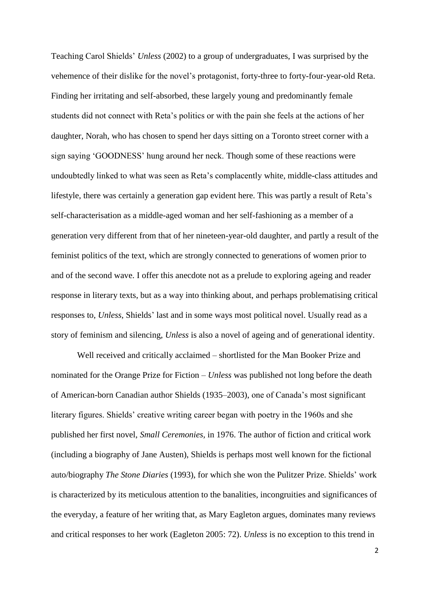Teaching Carol Shields' *Unless* (2002) to a group of undergraduates, I was surprised by the vehemence of their dislike for the novel's protagonist, forty-three to forty-four-year-old Reta. Finding her irritating and self-absorbed, these largely young and predominantly female students did not connect with Reta's politics or with the pain she feels at the actions of her daughter, Norah, who has chosen to spend her days sitting on a Toronto street corner with a sign saying 'GOODNESS' hung around her neck. Though some of these reactions were undoubtedly linked to what was seen as Reta's complacently white, middle-class attitudes and lifestyle, there was certainly a generation gap evident here. This was partly a result of Reta's self-characterisation as a middle-aged woman and her self-fashioning as a member of a generation very different from that of her nineteen-year-old daughter, and partly a result of the feminist politics of the text, which are strongly connected to generations of women prior to and of the second wave. I offer this anecdote not as a prelude to exploring ageing and reader response in literary texts, but as a way into thinking about, and perhaps problematising critical responses to, *Unless*, Shields' last and in some ways most political novel. Usually read as a story of feminism and silencing, *Unless* is also a novel of ageing and of generational identity.

Well received and critically acclaimed – shortlisted for the Man Booker Prize and nominated for the Orange Prize for Fiction – *Unless* was published not long before the death of American-born Canadian author Shields (1935–2003), one of Canada's most significant literary figures. Shields' creative writing career began with poetry in the 1960s and she published her first novel, *Small Ceremonies,* in 1976. The author of fiction and critical work (including a biography of Jane Austen), Shields is perhaps most well known for the fictional auto/biography *The Stone Diaries* (1993), for which she won the Pulitzer Prize. Shields' work is characterized by its meticulous attention to the banalities, incongruities and significances of the everyday, a feature of her writing that, as Mary Eagleton argues, dominates many reviews and critical responses to her work (Eagleton 2005: 72). *Unless* is no exception to this trend in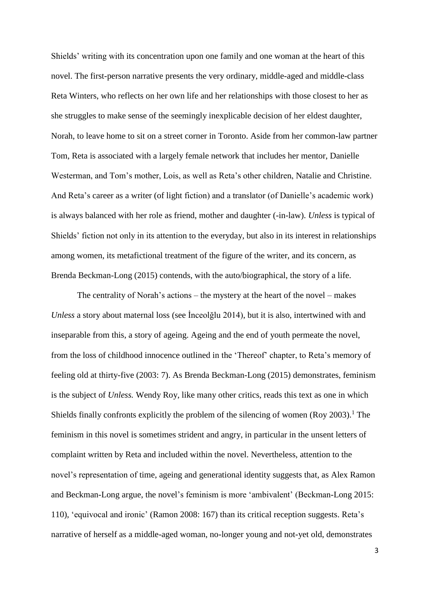Shields' writing with its concentration upon one family and one woman at the heart of this novel. The first-person narrative presents the very ordinary, middle-aged and middle-class Reta Winters, who reflects on her own life and her relationships with those closest to her as she struggles to make sense of the seemingly inexplicable decision of her eldest daughter, Norah, to leave home to sit on a street corner in Toronto. Aside from her common-law partner Tom, Reta is associated with a largely female network that includes her mentor, Danielle Westerman, and Tom's mother, Lois, as well as Reta's other children, Natalie and Christine. And Reta's career as a writer (of light fiction) and a translator (of Danielle's academic work) is always balanced with her role as friend, mother and daughter (-in-law). *Unless* is typical of Shields' fiction not only in its attention to the everyday, but also in its interest in relationships among women, its metafictional treatment of the figure of the writer, and its concern, as Brenda Beckman-Long (2015) contends, with the auto/biographical, the story of a life.

The centrality of Norah's actions – the mystery at the heart of the novel – makes *Unless* a story about maternal loss (see İnceolğlu 2014), but it is also, intertwined with and inseparable from this, a story of ageing. Ageing and the end of youth permeate the novel, from the loss of childhood innocence outlined in the 'Thereof' chapter, to Reta's memory of feeling old at thirty-five (2003: 7). As Brenda Beckman-Long (2015) demonstrates, feminism is the subject of *Unless.* Wendy Roy, like many other critics, reads this text as one in which Shields finally confronts explicitly the problem of the silencing of women (Roy 2003). <sup>1</sup> The feminism in this novel is sometimes strident and angry, in particular in the unsent letters of complaint written by Reta and included within the novel. Nevertheless, attention to the novel's representation of time, ageing and generational identity suggests that, as Alex Ramon and Beckman-Long argue, the novel's feminism is more 'ambivalent' (Beckman-Long 2015: 110), 'equivocal and ironic' (Ramon 2008: 167) than its critical reception suggests. Reta's narrative of herself as a middle-aged woman, no-longer young and not-yet old, demonstrates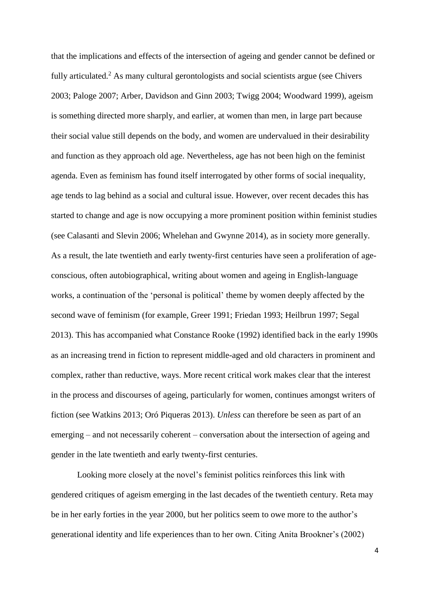that the implications and effects of the intersection of ageing and gender cannot be defined or fully articulated.<sup>2</sup> As many cultural gerontologists and social scientists argue (see Chivers 2003; Paloge 2007; Arber, Davidson and Ginn 2003; Twigg 2004; Woodward 1999), ageism is something directed more sharply, and earlier, at women than men, in large part because their social value still depends on the body, and women are undervalued in their desirability and function as they approach old age. Nevertheless, age has not been high on the feminist agenda. Even as feminism has found itself interrogated by other forms of social inequality, age tends to lag behind as a social and cultural issue. However, over recent decades this has started to change and age is now occupying a more prominent position within feminist studies (see Calasanti and Slevin 2006; Whelehan and Gwynne 2014), as in society more generally. As a result, the late twentieth and early twenty-first centuries have seen a proliferation of ageconscious, often autobiographical, writing about women and ageing in English-language works, a continuation of the 'personal is political' theme by women deeply affected by the second wave of feminism (for example, Greer 1991; Friedan 1993; Heilbrun 1997; Segal 2013). This has accompanied what Constance Rooke (1992) identified back in the early 1990s as an increasing trend in fiction to represent middle-aged and old characters in prominent and complex, rather than reductive, ways. More recent critical work makes clear that the interest in the process and discourses of ageing, particularly for women, continues amongst writers of fiction (see Watkins 2013; Oró Piqueras 2013). *Unless* can therefore be seen as part of an emerging – and not necessarily coherent – conversation about the intersection of ageing and gender in the late twentieth and early twenty-first centuries.

Looking more closely at the novel's feminist politics reinforces this link with gendered critiques of ageism emerging in the last decades of the twentieth century. Reta may be in her early forties in the year 2000, but her politics seem to owe more to the author's generational identity and life experiences than to her own. Citing Anita Brookner's (2002)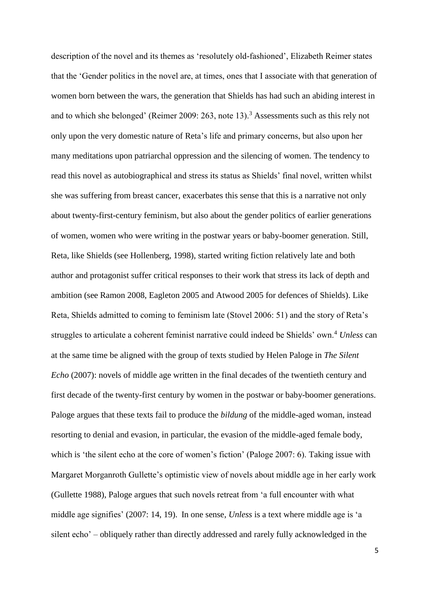description of the novel and its themes as 'resolutely old-fashioned', Elizabeth Reimer states that the 'Gender politics in the novel are, at times, ones that I associate with that generation of women born between the wars, the generation that Shields has had such an abiding interest in and to which she belonged' (Reimer 2009: 263, note 13).<sup>3</sup> Assessments such as this rely not only upon the very domestic nature of Reta's life and primary concerns, but also upon her many meditations upon patriarchal oppression and the silencing of women. The tendency to read this novel as autobiographical and stress its status as Shields' final novel, written whilst she was suffering from breast cancer, exacerbates this sense that this is a narrative not only about twenty-first-century feminism, but also about the gender politics of earlier generations of women, women who were writing in the postwar years or baby-boomer generation. Still, Reta, like Shields (see Hollenberg, 1998), started writing fiction relatively late and both author and protagonist suffer critical responses to their work that stress its lack of depth and ambition (see Ramon 2008, Eagleton 2005 and Atwood 2005 for defences of Shields). Like Reta, Shields admitted to coming to feminism late (Stovel 2006: 51) and the story of Reta's struggles to articulate a coherent feminist narrative could indeed be Shields' own.<sup>4</sup> Unless can at the same time be aligned with the group of texts studied by Helen Paloge in *The Silent Echo* (2007): novels of middle age written in the final decades of the twentieth century and first decade of the twenty-first century by women in the postwar or baby-boomer generations. Paloge argues that these texts fail to produce the *bildung* of the middle-aged woman, instead resorting to denial and evasion, in particular, the evasion of the middle-aged female body, which is 'the silent echo at the core of women's fiction' (Paloge 2007: 6). Taking issue with Margaret Morganroth Gullette's optimistic view of novels about middle age in her early work (Gullette 1988), Paloge argues that such novels retreat from 'a full encounter with what middle age signifies' (2007: 14, 19). In one sense, *Unless* is a text where middle age is 'a silent echo' – obliquely rather than directly addressed and rarely fully acknowledged in the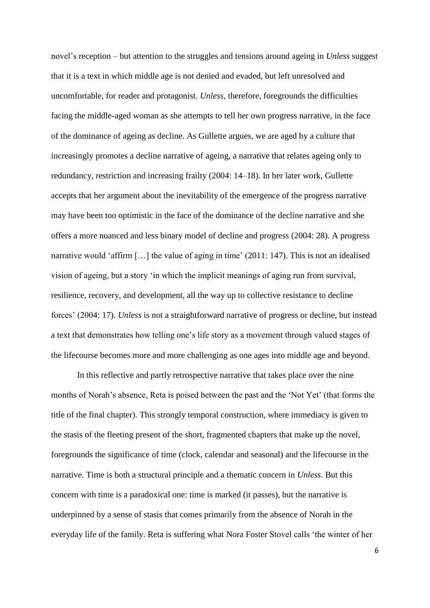novel's reception – but attention to the struggles and tensions around ageing in *Unless* suggest that it is a text in which middle age is not denied and evaded, but left unresolved and uncomfortable, for reader and protagonist. *Unless*, therefore, foregrounds the difficulties facing the middle-aged woman as she attempts to tell her own progress narrative, in the face of the dominance of ageing as decline. As Gullette argues, we are aged by a culture that increasingly promotes a decline narrative of ageing, a narrative that relates ageing only to redundancy, restriction and increasing frailty (2004: 14–18). In her later work, Gullette accepts that her argument about the inevitability of the emergence of the progress narrative may have been too optimistic in the face of the dominance of the decline narrative and she offers a more nuanced and less binary model of decline and progress (2004: 28). A progress narrative would 'affirm […] the value of aging in time' (2011: 147). This is not an idealised vision of ageing, but a story 'in which the implicit meanings of aging run from survival, resilience, recovery, and development, all the way up to collective resistance to decline forces' (2004: 17). *Unless* is not a straightforward narrative of progress or decline, but instead a text that demonstrates how telling one's life story as a movement through valued stages of the lifecourse becomes more and more challenging as one ages into middle age and beyond.

In this reflective and partly retrospective narrative that takes place over the nine months of Norah's absence, Reta is poised between the past and the 'Not Yet' (that forms the title of the final chapter). This strongly temporal construction, where immediacy is given to the stasis of the fleeting present of the short, fragmented chapters that make up the novel, foregrounds the significance of time (clock, calendar and seasonal) and the lifecourse in the narrative. Time is both a structural principle and a thematic concern in *Unless*. But this concern with time is a paradoxical one: time is marked (it passes), but the narrative is underpinned by a sense of stasis that comes primarily from the absence of Norah in the everyday life of the family. Reta is suffering what Nora Foster Stovel calls 'the winter of her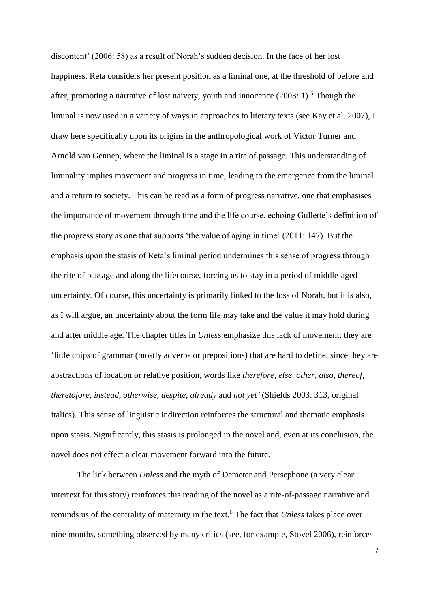discontent' (2006: 58) as a result of Norah's sudden decision. In the face of her lost happiness, Reta considers her present position as a liminal one, at the threshold of before and after, promoting a narrative of lost naivety, youth and innocence  $(2003: 1)$ .<sup>5</sup> Though the liminal is now used in a variety of ways in approaches to literary texts (see Kay et al. 2007), I draw here specifically upon its origins in the anthropological work of Victor Turner and Arnold van Gennep, where the liminal is a stage in a rite of passage. This understanding of liminality implies movement and progress in time, leading to the emergence from the liminal and a return to society. This can be read as a form of progress narrative, one that emphasises the importance of movement through time and the life course, echoing Gullette's definition of the progress story as one that supports 'the value of aging in time' (2011: 147). But the emphasis upon the stasis of Reta's liminal period undermines this sense of progress through the rite of passage and along the lifecourse, forcing us to stay in a period of middle-aged uncertainty. Of course, this uncertainty is primarily linked to the loss of Norah, but it is also, as I will argue, an uncertainty about the form life may take and the value it may hold during and after middle age. The chapter titles in *Unless* emphasize this lack of movement; they are 'little chips of grammar (mostly adverbs or prepositions) that are hard to define, since they are abstractions of location or relative position, words like *therefore, else, other, also, thereof, theretofore, instead, otherwise, despite, already* and *not yet'* (Shields 2003: 313, original italics). This sense of linguistic indirection reinforces the structural and thematic emphasis upon stasis. Significantly, this stasis is prolonged in the novel and, even at its conclusion, the novel does not effect a clear movement forward into the future.

The link between *Unless* and the myth of Demeter and Persephone (a very clear intertext for this story) reinforces this reading of the novel as a rite-of-passage narrative and reminds us of the centrality of maternity in the text. <sup>6</sup> The fact that *Unless* takes place over nine months, something observed by many critics (see, for example, Stovel 2006), reinforces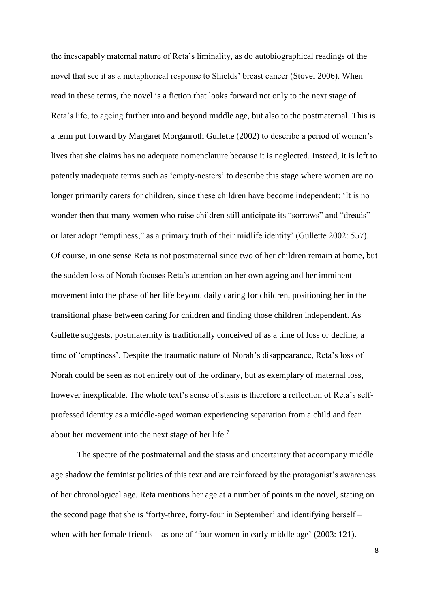the inescapably maternal nature of Reta's liminality, as do autobiographical readings of the novel that see it as a metaphorical response to Shields' breast cancer (Stovel 2006). When read in these terms, the novel is a fiction that looks forward not only to the next stage of Reta's life, to ageing further into and beyond middle age, but also to the postmaternal. This is a term put forward by Margaret Morganroth Gullette (2002) to describe a period of women's lives that she claims has no adequate nomenclature because it is neglected. Instead, it is left to patently inadequate terms such as 'empty-nesters' to describe this stage where women are no longer primarily carers for children, since these children have become independent: 'It is no wonder then that many women who raise children still anticipate its "sorrows" and "dreads" or later adopt "emptiness," as a primary truth of their midlife identity' (Gullette 2002: 557). Of course, in one sense Reta is not postmaternal since two of her children remain at home, but the sudden loss of Norah focuses Reta's attention on her own ageing and her imminent movement into the phase of her life beyond daily caring for children, positioning her in the transitional phase between caring for children and finding those children independent. As Gullette suggests, postmaternity is traditionally conceived of as a time of loss or decline, a time of 'emptiness'. Despite the traumatic nature of Norah's disappearance, Reta's loss of Norah could be seen as not entirely out of the ordinary, but as exemplary of maternal loss, however inexplicable. The whole text's sense of stasis is therefore a reflection of Reta's selfprofessed identity as a middle-aged woman experiencing separation from a child and fear about her movement into the next stage of her life.<sup>7</sup>

The spectre of the postmaternal and the stasis and uncertainty that accompany middle age shadow the feminist politics of this text and are reinforced by the protagonist's awareness of her chronological age. Reta mentions her age at a number of points in the novel, stating on the second page that she is 'forty-three, forty-four in September' and identifying herself – when with her female friends – as one of 'four women in early middle age' (2003: 121).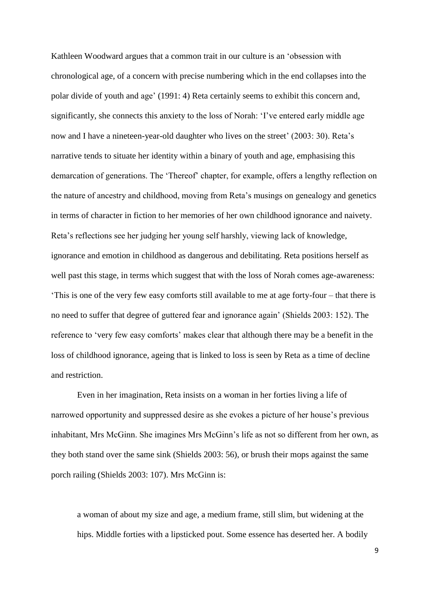Kathleen Woodward argues that a common trait in our culture is an 'obsession with chronological age, of a concern with precise numbering which in the end collapses into the polar divide of youth and age' (1991: 4) Reta certainly seems to exhibit this concern and, significantly, she connects this anxiety to the loss of Norah: 'I've entered early middle age now and I have a nineteen-year-old daughter who lives on the street' (2003: 30). Reta's narrative tends to situate her identity within a binary of youth and age, emphasising this demarcation of generations. The 'Thereof' chapter, for example, offers a lengthy reflection on the nature of ancestry and childhood, moving from Reta's musings on genealogy and genetics in terms of character in fiction to her memories of her own childhood ignorance and naivety. Reta's reflections see her judging her young self harshly, viewing lack of knowledge, ignorance and emotion in childhood as dangerous and debilitating. Reta positions herself as well past this stage, in terms which suggest that with the loss of Norah comes age-awareness: 'This is one of the very few easy comforts still available to me at age forty-four – that there is no need to suffer that degree of guttered fear and ignorance again' (Shields 2003: 152). The reference to 'very few easy comforts' makes clear that although there may be a benefit in the loss of childhood ignorance, ageing that is linked to loss is seen by Reta as a time of decline and restriction.

Even in her imagination, Reta insists on a woman in her forties living a life of narrowed opportunity and suppressed desire as she evokes a picture of her house's previous inhabitant, Mrs McGinn. She imagines Mrs McGinn's life as not so different from her own, as they both stand over the same sink (Shields 2003: 56), or brush their mops against the same porch railing (Shields 2003: 107). Mrs McGinn is:

a woman of about my size and age, a medium frame, still slim, but widening at the hips. Middle forties with a lipsticked pout. Some essence has deserted her. A bodily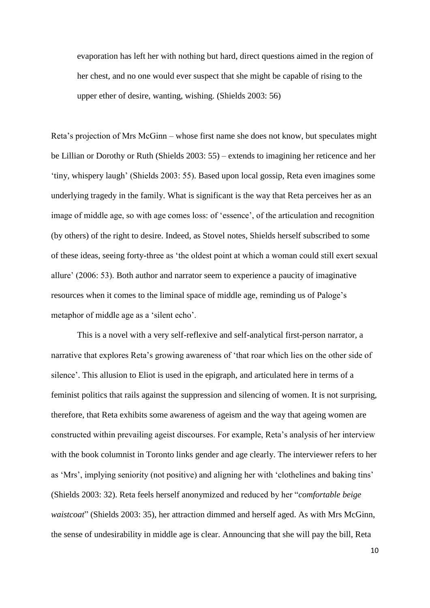evaporation has left her with nothing but hard, direct questions aimed in the region of her chest, and no one would ever suspect that she might be capable of rising to the upper ether of desire, wanting, wishing. (Shields 2003: 56)

Reta's projection of Mrs McGinn – whose first name she does not know, but speculates might be Lillian or Dorothy or Ruth (Shields 2003: 55) – extends to imagining her reticence and her 'tiny, whispery laugh' (Shields 2003: 55). Based upon local gossip, Reta even imagines some underlying tragedy in the family. What is significant is the way that Reta perceives her as an image of middle age, so with age comes loss: of 'essence', of the articulation and recognition (by others) of the right to desire. Indeed, as Stovel notes, Shields herself subscribed to some of these ideas, seeing forty-three as 'the oldest point at which a woman could still exert sexual allure' (2006: 53). Both author and narrator seem to experience a paucity of imaginative resources when it comes to the liminal space of middle age, reminding us of Paloge's metaphor of middle age as a 'silent echo'.

This is a novel with a very self-reflexive and self-analytical first-person narrator, a narrative that explores Reta's growing awareness of 'that roar which lies on the other side of silence'. This allusion to Eliot is used in the epigraph, and articulated here in terms of a feminist politics that rails against the suppression and silencing of women. It is not surprising, therefore, that Reta exhibits some awareness of ageism and the way that ageing women are constructed within prevailing ageist discourses. For example, Reta's analysis of her interview with the book columnist in Toronto links gender and age clearly. The interviewer refers to her as 'Mrs', implying seniority (not positive) and aligning her with 'clothelines and baking tins' (Shields 2003: 32). Reta feels herself anonymized and reduced by her "*comfortable beige waistcoat*" (Shields 2003: 35), her attraction dimmed and herself aged. As with Mrs McGinn, the sense of undesirability in middle age is clear. Announcing that she will pay the bill, Reta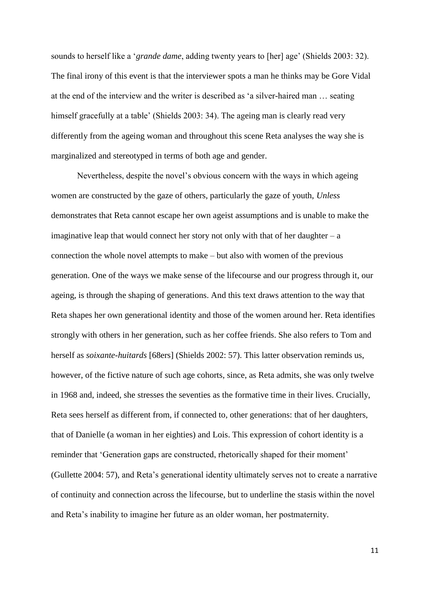sounds to herself like a '*grande dame*, adding twenty years to [her] age' (Shields 2003: 32). The final irony of this event is that the interviewer spots a man he thinks may be Gore Vidal at the end of the interview and the writer is described as 'a silver-haired man … seating himself gracefully at a table' (Shields 2003: 34). The ageing man is clearly read very differently from the ageing woman and throughout this scene Reta analyses the way she is marginalized and stereotyped in terms of both age and gender.

Nevertheless, despite the novel's obvious concern with the ways in which ageing women are constructed by the gaze of others, particularly the gaze of youth, *Unless*  demonstrates that Reta cannot escape her own ageist assumptions and is unable to make the imaginative leap that would connect her story not only with that of her daughter  $-$  a connection the whole novel attempts to make – but also with women of the previous generation. One of the ways we make sense of the lifecourse and our progress through it, our ageing, is through the shaping of generations. And this text draws attention to the way that Reta shapes her own generational identity and those of the women around her. Reta identifies strongly with others in her generation, such as her coffee friends. She also refers to Tom and herself as *soixante-huitards* [68ers] (Shields 2002: 57). This latter observation reminds us, however, of the fictive nature of such age cohorts, since, as Reta admits, she was only twelve in 1968 and, indeed, she stresses the seventies as the formative time in their lives. Crucially, Reta sees herself as different from, if connected to, other generations: that of her daughters, that of Danielle (a woman in her eighties) and Lois. This expression of cohort identity is a reminder that 'Generation gaps are constructed, rhetorically shaped for their moment' (Gullette 2004: 57), and Reta's generational identity ultimately serves not to create a narrative of continuity and connection across the lifecourse, but to underline the stasis within the novel and Reta's inability to imagine her future as an older woman, her postmaternity.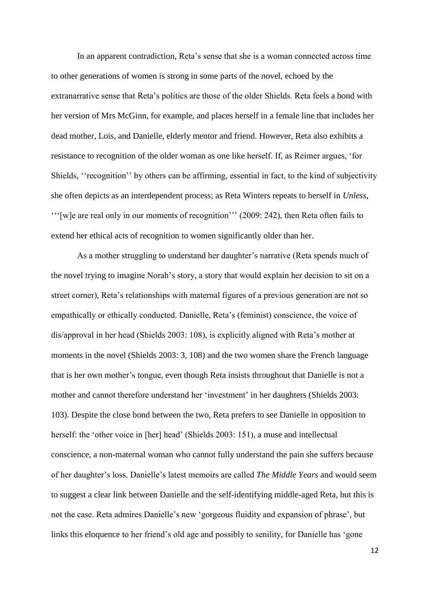In an apparent contradiction, Reta's sense that she is a woman connected across time to other generations of women is strong in some parts of the novel, echoed by the extranarrative sense that Reta's politics are those of the older Shields. Reta feels a bond with her version of Mrs McGinn, for example, and places herself in a female line that includes her dead mother, Lois, and Danielle, elderly mentor and friend. However, Reta also exhibits a resistance to recognition of the older woman as one like herself. If, as Reimer argues, 'for Shields, ''recognition'' by others can be affirming, essential in fact, to the kind of subjectivity she often depicts as an interdependent process; as Reta Winters repeats to herself in *Unless*, '''[w]e are real only in our moments of recognition''' (2009: 242), then Reta often fails to extend her ethical acts of recognition to women significantly older than her.

As a mother struggling to understand her daughter's narrative (Reta spends much of the novel trying to imagine Norah's story, a story that would explain her decision to sit on a street corner), Reta's relationships with maternal figures of a previous generation are not so empathically or ethically conducted. Danielle, Reta's (feminist) conscience, the voice of dis/approval in her head (Shields 2003: 108), is explicitly aligned with Reta's mother at moments in the novel (Shields 2003: 3, 108) and the two women share the French language that is her own mother's tongue, even though Reta insists throughout that Danielle is not a mother and cannot therefore understand her 'investment' in her daughters (Shields 2003: 103). Despite the close bond between the two, Reta prefers to see Danielle in opposition to herself: the 'other voice in [her] head' (Shields 2003: 151), a muse and intellectual conscience, a non-maternal woman who cannot fully understand the pain she suffers because of her daughter's loss. Danielle's latest memoirs are called *The Middle Years* and would seem to suggest a clear link between Danielle and the self-identifying middle-aged Reta, but this is not the case. Reta admires Danielle's new 'gorgeous fluidity and expansion of phrase', but links this eloquence to her friend's old age and possibly to senility, for Danielle has 'gone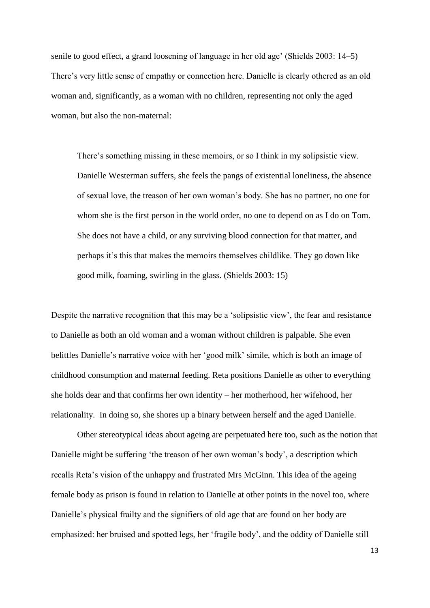senile to good effect, a grand loosening of language in her old age' (Shields 2003: 14–5) There's very little sense of empathy or connection here. Danielle is clearly othered as an old woman and, significantly, as a woman with no children, representing not only the aged woman, but also the non-maternal:

There's something missing in these memoirs, or so I think in my solipsistic view. Danielle Westerman suffers, she feels the pangs of existential loneliness, the absence of sexual love, the treason of her own woman's body. She has no partner, no one for whom she is the first person in the world order, no one to depend on as I do on Tom. She does not have a child, or any surviving blood connection for that matter, and perhaps it's this that makes the memoirs themselves childlike. They go down like good milk, foaming, swirling in the glass. (Shields 2003: 15)

Despite the narrative recognition that this may be a 'solipsistic view', the fear and resistance to Danielle as both an old woman and a woman without children is palpable. She even belittles Danielle's narrative voice with her 'good milk' simile, which is both an image of childhood consumption and maternal feeding. Reta positions Danielle as other to everything she holds dear and that confirms her own identity – her motherhood, her wifehood, her relationality. In doing so, she shores up a binary between herself and the aged Danielle.

Other stereotypical ideas about ageing are perpetuated here too, such as the notion that Danielle might be suffering 'the treason of her own woman's body', a description which recalls Reta's vision of the unhappy and frustrated Mrs McGinn. This idea of the ageing female body as prison is found in relation to Danielle at other points in the novel too, where Danielle's physical frailty and the signifiers of old age that are found on her body are emphasized: her bruised and spotted legs, her 'fragile body', and the oddity of Danielle still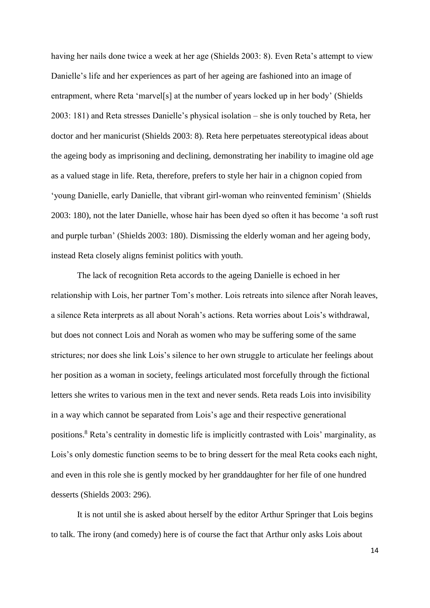having her nails done twice a week at her age (Shields 2003: 8). Even Reta's attempt to view Danielle's life and her experiences as part of her ageing are fashioned into an image of entrapment, where Reta 'marvel[s] at the number of years locked up in her body' (Shields 2003: 181) and Reta stresses Danielle's physical isolation – she is only touched by Reta, her doctor and her manicurist (Shields 2003: 8). Reta here perpetuates stereotypical ideas about the ageing body as imprisoning and declining, demonstrating her inability to imagine old age as a valued stage in life. Reta, therefore, prefers to style her hair in a chignon copied from 'young Danielle, early Danielle, that vibrant girl-woman who reinvented feminism' (Shields 2003: 180), not the later Danielle, whose hair has been dyed so often it has become 'a soft rust and purple turban' (Shields 2003: 180). Dismissing the elderly woman and her ageing body, instead Reta closely aligns feminist politics with youth.

The lack of recognition Reta accords to the ageing Danielle is echoed in her relationship with Lois, her partner Tom's mother. Lois retreats into silence after Norah leaves, a silence Reta interprets as all about Norah's actions. Reta worries about Lois's withdrawal, but does not connect Lois and Norah as women who may be suffering some of the same strictures; nor does she link Lois's silence to her own struggle to articulate her feelings about her position as a woman in society, feelings articulated most forcefully through the fictional letters she writes to various men in the text and never sends. Reta reads Lois into invisibility in a way which cannot be separated from Lois's age and their respective generational positions.<sup>8</sup> Reta's centrality in domestic life is implicitly contrasted with Lois' marginality, as Lois's only domestic function seems to be to bring dessert for the meal Reta cooks each night, and even in this role she is gently mocked by her granddaughter for her file of one hundred desserts (Shields 2003: 296).

It is not until she is asked about herself by the editor Arthur Springer that Lois begins to talk. The irony (and comedy) here is of course the fact that Arthur only asks Lois about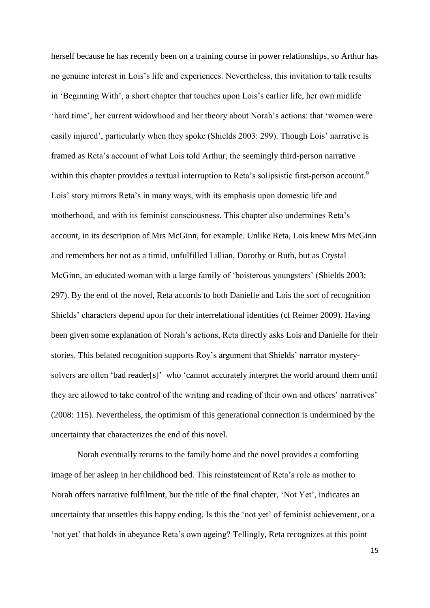herself because he has recently been on a training course in power relationships, so Arthur has no genuine interest in Lois's life and experiences. Nevertheless, this invitation to talk results in 'Beginning With', a short chapter that touches upon Lois's earlier life, her own midlife 'hard time', her current widowhood and her theory about Norah's actions: that 'women were easily injured', particularly when they spoke (Shields 2003: 299). Though Lois' narrative is framed as Reta's account of what Lois told Arthur, the seemingly third-person narrative within this chapter provides a textual interruption to Reta's solipsistic first-person account.<sup>9</sup> Lois' story mirrors Reta's in many ways, with its emphasis upon domestic life and motherhood, and with its feminist consciousness. This chapter also undermines Reta's account, in its description of Mrs McGinn, for example. Unlike Reta, Lois knew Mrs McGinn and remembers her not as a timid, unfulfilled Lillian, Dorothy or Ruth, but as Crystal McGinn, an educated woman with a large family of 'boisterous youngsters' (Shields 2003: 297). By the end of the novel, Reta accords to both Danielle and Lois the sort of recognition Shields' characters depend upon for their interrelational identities (cf Reimer 2009). Having been given some explanation of Norah's actions, Reta directly asks Lois and Danielle for their stories. This belated recognition supports Roy's argument that Shields' narrator mysterysolvers are often 'bad reader[s]' who 'cannot accurately interpret the world around them until they are allowed to take control of the writing and reading of their own and others' narratives' (2008: 115). Nevertheless, the optimism of this generational connection is undermined by the uncertainty that characterizes the end of this novel.

Norah eventually returns to the family home and the novel provides a comforting image of her asleep in her childhood bed. This reinstatement of Reta's role as mother to Norah offers narrative fulfilment, but the title of the final chapter, 'Not Yet', indicates an uncertainty that unsettles this happy ending. Is this the 'not yet' of feminist achievement, or a 'not yet' that holds in abeyance Reta's own ageing? Tellingly, Reta recognizes at this point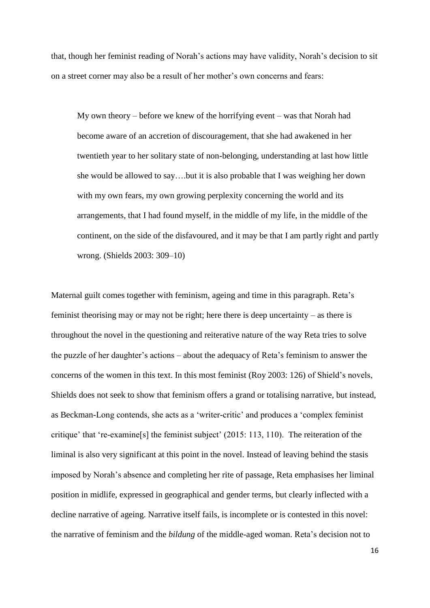that, though her feminist reading of Norah's actions may have validity, Norah's decision to sit on a street corner may also be a result of her mother's own concerns and fears:

My own theory – before we knew of the horrifying event – was that Norah had become aware of an accretion of discouragement, that she had awakened in her twentieth year to her solitary state of non-belonging, understanding at last how little she would be allowed to say….but it is also probable that I was weighing her down with my own fears, my own growing perplexity concerning the world and its arrangements, that I had found myself, in the middle of my life, in the middle of the continent, on the side of the disfavoured, and it may be that I am partly right and partly wrong. (Shields 2003: 309–10)

Maternal guilt comes together with feminism, ageing and time in this paragraph. Reta's feminist theorising may or may not be right; here there is deep uncertainty – as there is throughout the novel in the questioning and reiterative nature of the way Reta tries to solve the puzzle of her daughter's actions – about the adequacy of Reta's feminism to answer the concerns of the women in this text. In this most feminist (Roy 2003: 126) of Shield's novels, Shields does not seek to show that feminism offers a grand or totalising narrative, but instead, as Beckman-Long contends, she acts as a 'writer-critic' and produces a 'complex feminist critique' that 're-examine[s] the feminist subject' (2015: 113, 110). The reiteration of the liminal is also very significant at this point in the novel. Instead of leaving behind the stasis imposed by Norah's absence and completing her rite of passage, Reta emphasises her liminal position in midlife, expressed in geographical and gender terms, but clearly inflected with a decline narrative of ageing. Narrative itself fails, is incomplete or is contested in this novel: the narrative of feminism and the *bildung* of the middle-aged woman. Reta's decision not to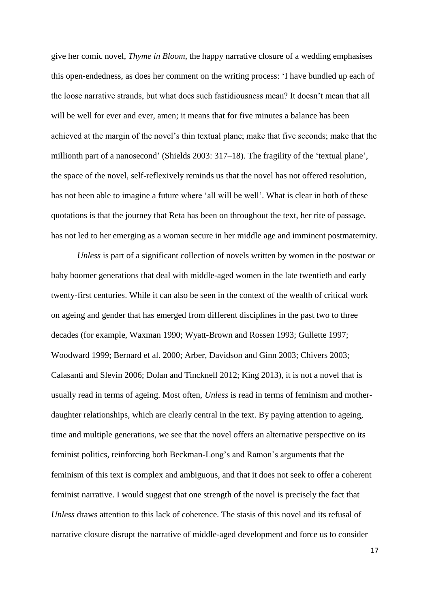give her comic novel, *Thyme in Bloom*, the happy narrative closure of a wedding emphasises this open-endedness, as does her comment on the writing process: 'I have bundled up each of the loose narrative strands, but what does such fastidiousness mean? It doesn't mean that all will be well for ever and ever, amen; it means that for five minutes a balance has been achieved at the margin of the novel's thin textual plane; make that five seconds; make that the millionth part of a nanosecond' (Shields 2003: 317–18). The fragility of the 'textual plane', the space of the novel, self-reflexively reminds us that the novel has not offered resolution, has not been able to imagine a future where 'all will be well'. What is clear in both of these quotations is that the journey that Reta has been on throughout the text, her rite of passage, has not led to her emerging as a woman secure in her middle age and imminent postmaternity.

*Unless* is part of a significant collection of novels written by women in the postwar or baby boomer generations that deal with middle-aged women in the late twentieth and early twenty-first centuries. While it can also be seen in the context of the wealth of critical work on ageing and gender that has emerged from different disciplines in the past two to three decades (for example, Waxman 1990; Wyatt-Brown and Rossen 1993; Gullette 1997; Woodward 1999; Bernard et al. 2000; Arber, Davidson and Ginn 2003; Chivers 2003; Calasanti and Slevin 2006; Dolan and Tincknell 2012; King 2013), it is not a novel that is usually read in terms of ageing. Most often, *Unless* is read in terms of feminism and motherdaughter relationships, which are clearly central in the text. By paying attention to ageing, time and multiple generations, we see that the novel offers an alternative perspective on its feminist politics, reinforcing both Beckman-Long's and Ramon's arguments that the feminism of this text is complex and ambiguous, and that it does not seek to offer a coherent feminist narrative. I would suggest that one strength of the novel is precisely the fact that *Unless* draws attention to this lack of coherence. The stasis of this novel and its refusal of narrative closure disrupt the narrative of middle-aged development and force us to consider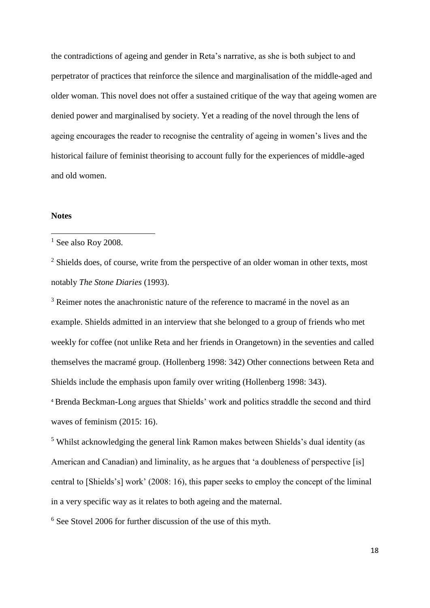the contradictions of ageing and gender in Reta's narrative, as she is both subject to and perpetrator of practices that reinforce the silence and marginalisation of the middle-aged and older woman. This novel does not offer a sustained critique of the way that ageing women are denied power and marginalised by society. Yet a reading of the novel through the lens of ageing encourages the reader to recognise the centrality of ageing in women's lives and the historical failure of feminist theorising to account fully for the experiences of middle-aged and old women.

### **Notes**

**.** 

<sup>2</sup> Shields does, of course, write from the perspective of an older woman in other texts, most notably *The Stone Diaries* (1993).

<sup>3</sup> Reimer notes the anachronistic nature of the reference to macramé in the novel as an example. Shields admitted in an interview that she belonged to a group of friends who met weekly for coffee (not unlike Reta and her friends in Orangetown) in the seventies and called themselves the macramé group. (Hollenberg 1998: 342) Other connections between Reta and Shields include the emphasis upon family over writing (Hollenberg 1998: 343).

<sup>4</sup> Brenda Beckman-Long argues that Shields' work and politics straddle the second and third waves of feminism (2015: 16).

<sup>5</sup> Whilst acknowledging the general link Ramon makes between Shields's dual identity (as American and Canadian) and liminality, as he argues that 'a doubleness of perspective [is] central to [Shields's] work' (2008: 16), this paper seeks to employ the concept of the liminal in a very specific way as it relates to both ageing and the maternal.

<sup>6</sup> See Stovel 2006 for further discussion of the use of this myth.

 $1$  See also Roy 2008.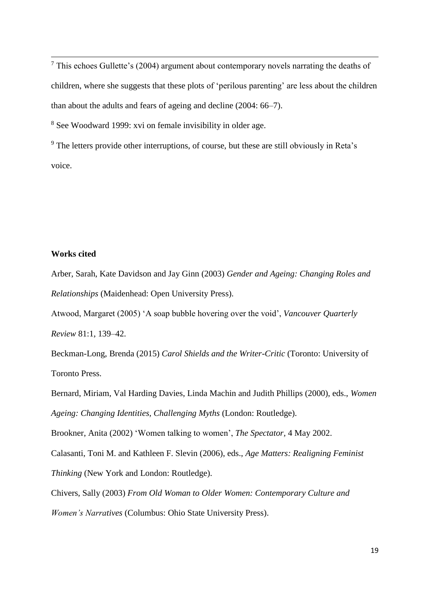$<sup>7</sup>$  This echoes Gullette's (2004) argument about contemporary novels narrating the deaths of</sup> children, where she suggests that these plots of 'perilous parenting' are less about the children than about the adults and fears of ageing and decline (2004: 66–7).

<sup>8</sup> See Woodward 1999: xvi on female invisibility in older age.

<sup>9</sup> The letters provide other interruptions, of course, but these are still obviously in Reta's voice.

## **Works cited**

 $\overline{a}$ 

Arber, Sarah, Kate Davidson and Jay Ginn (2003) *Gender and Ageing: Changing Roles and Relationships* (Maidenhead: Open University Press).

Atwood, Margaret (2005) 'A soap bubble hovering over the void', *Vancouver Quarterly Review* 81:1, 139–42.

Beckman-Long, Brenda (2015) *Carol Shields and the Writer-Critic* (Toronto: University of Toronto Press.

Bernard, Miriam, Val Harding Davies, Linda Machin and Judith Phillips (2000), eds., *Women Ageing: Changing Identities, Challenging Myths* (London: Routledge).

[Brookner, Anita](http://search.proquest.com.libaccess.hud.ac.uk/indexinglinkhandler/sng/au/Brookner,+Anita/$N?accountid=11526) (2002) 'Women talking to women', *The Spectator,* 4 May 2002.

Calasanti, Toni M. and Kathleen F. Slevin (2006), eds., *Age Matters: Realigning Feminist Thinking* (New York and London: Routledge).

Chivers, Sally (2003) *From Old Woman to Older Women: Contemporary Culture and Women's Narratives* (Columbus: Ohio State University Press).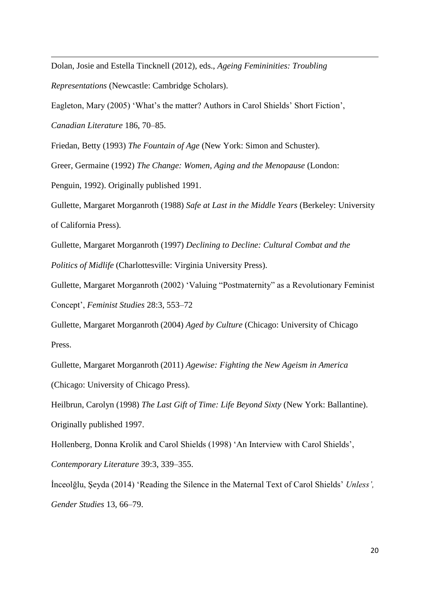Dolan, Josie and Estella Tincknell (2012), eds., *Ageing Femininities: Troubling* 

*Representations* (Newcastle: Cambridge Scholars).

Eagleton, Mary (2005) 'What's the matter? Authors in Carol Shields' Short Fiction',

*Canadian Literature* 186, 70–85.

 $\overline{a}$ 

Friedan, Betty (1993) *The Fountain of Age* (New York: Simon and Schuster).

Greer, Germaine (1992) *The Change: Women, Aging and the Menopause* (London:

Penguin, 1992). Originally published 1991.

Gullette, Margaret Morganroth (1988) *Safe at Last in the Middle Years* (Berkeley: University of California Press).

Gullette, Margaret Morganroth (1997) *Declining to Decline: Cultural Combat and the Politics of Midlife* (Charlottesville: Virginia University Press).

Gullette, Margaret Morganroth (2002) 'Valuing "Postmaternity" as a Revolutionary Feminist Concept', *Feminist Studies* 28:3, 553–72

Gullette, Margaret Morganroth (2004) *Aged by Culture* (Chicago: University of Chicago Press.

Gullette, Margaret Morganroth (2011) *Agewise: Fighting the New Ageism in America*  (Chicago: University of Chicago Press).

Heilbrun, Carolyn (1998) *The Last Gift of Time: Life Beyond Sixty* (New York: Ballantine). Originally published 1997.

Hollenberg, Donna Krolik and Carol Shields (1998) 'An Interview with Carol Shields',

*Contemporary Literature* 39:3, 339–355.

İnceolğlu, Şeyda (2014) 'Reading the Silence in the Maternal Text of Carol Shields' *Unless', Gender Studies* 13, 66–79.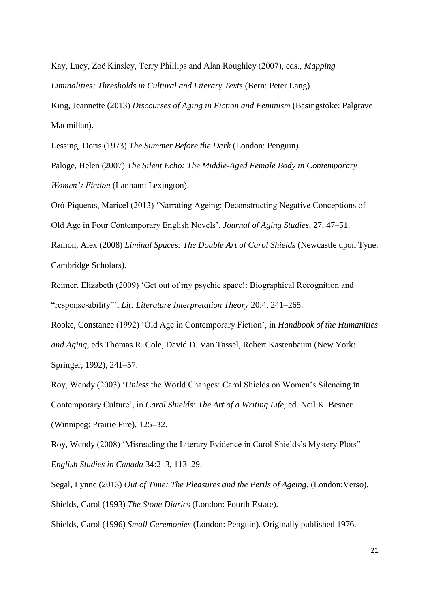Kay, Lucy, Zoё Kinsley, Terry Phillips and Alan Roughley (2007), eds., *Mapping Liminalities: Thresholds in Cultural and Literary Texts* (Bern: Peter Lang).

King, Jeannette (2013) *Discourses of Aging in Fiction and Feminism* (Basingstoke: Palgrave Macmillan).

Lessing, Doris (1973) *The Summer Before the Dark* (London: Penguin).

 $\overline{a}$ 

Paloge, Helen (2007) *The Silent Echo: The Middle-Aged Female Body in Contemporary Women's Fiction* (Lanham: Lexington).

Oró-Piqueras, Maricel (2013) 'Narrating Ageing: Deconstructing Negative Conceptions of Old Age in Four Contemporary English Novels', *Journal of Aging Studies*, 27, 47–51. Ramon, Alex (2008) *Liminal Spaces: The Double Art of Carol Shields* (Newcastle upon Tyne: Cambridge Scholars).

Reimer, Elizabeth (2009) 'Get out of my psychic space!: Biographical Recognition and "response-ability"', *Lit: Literature Interpretation Theory* 20:4, 241–265.

Rooke, Constance (1992) 'Old Age in Contemporary Fiction', in *Handbook of the Humanities and Aging*, eds.Thomas R. Cole, David D. Van Tassel, Robert Kastenbaum (New York: Springer, 1992), 241–57.

Roy, Wendy (2003) '*Unless* the World Changes: Carol Shields on Women's Silencing in Contemporary Culture', in *Carol Shields: The Art of a Writing Life,* ed. Neil K. Besner (Winnipeg: Prairie Fire), 125–32.

Roy, Wendy (2008) 'Misreading the Literary Evidence in Carol Shields's Mystery Plots" *English Studies in Canada* 34:2–3, 113–29.

Segal, Lynne (2013) *Out of Time: The Pleasures and the Perils of Ageing*. (London:Verso). Shields, Carol (1993) *The Stone Diaries* (London: Fourth Estate).

Shields, Carol (1996) *Small Ceremonies* (London: Penguin). Originally published 1976.